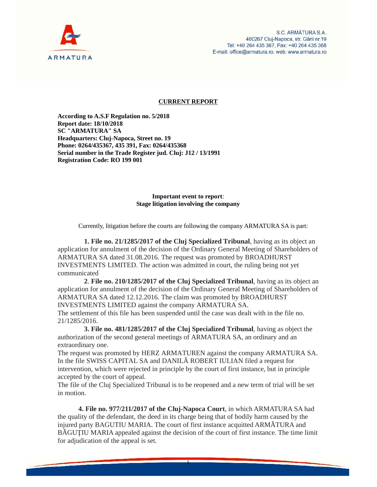

## **CURRENT REPORT**

**According to A.S.F Regulation no. 5/2018 Report date: 18/10/2018 SC "ARMATURA" SA Headquarters: Cluj-Napoca, Street no. 19 Phone: 0264/435367, 435 391, Fax: 0264/435368 Serial number in the Trade Register jud. Cluj: J12 / 13/1991 Registration Code: RO 199 001**

## **Important event to report**: **Stage litigation involving the company**

Currently, litigation before the courts are following the company ARMATURA SA is part:

**1. File no. 21/1285/2017 of the Cluj Specialized Tribunal**, having as its object an application for annulment of the decision of the Ordinary General Meeting of Shareholders of ARMATURA SA dated 31.08.2016. The request was promoted by BROADHURST INVESTMENTS LIMITED. The action was admitted in court, the ruling being not yet communicated

**2**. **File no. 210/1285/2017 of the Cluj Specialized Tribunal**, having as its object an application for annulment of the decision of the Ordinary General Meeting of Shareholders of ARMATURA SA dated 12.12.2016. The claim was promoted by BROADHURST INVESTMENTS LIMITED against the company ARMATURA SA.

The settlement of this file has been suspended until the case was dealt with in the file no. 21/1285/2016.

**3. File no. 481/1285/2017 of the Cluj Specialized Tribunal**, having as object the authorization of the second general meetings of ARMATURA SA, an ordinary and an extraordinary one.

The request was promoted by HERZ ARMATUREN against the company ARMATURA SA. In the file SWISS CAPITAL SA and DANIL ROBERT IULIAN filed a request for intervention, which were rejected in principle by the court of first instance, but in principle accepted by the court of appeal.

The file of the Cluj Specialized Tribunal is to be reopened and a new term of trial will be set in motion.

**4. File no. 977/211/2017 of the Cluj-Napoca Court**, in which ARMATURA SA had the quality of the defendant, the deed in its charge being that of bodily harm caused by the injured party BAGUTIU MARIA. The court of first instance acquitted ARM TURA and B GU IU MARIA appealed against the decision of the court of first instance. The time limit for adjudication of the appeal is set.

1